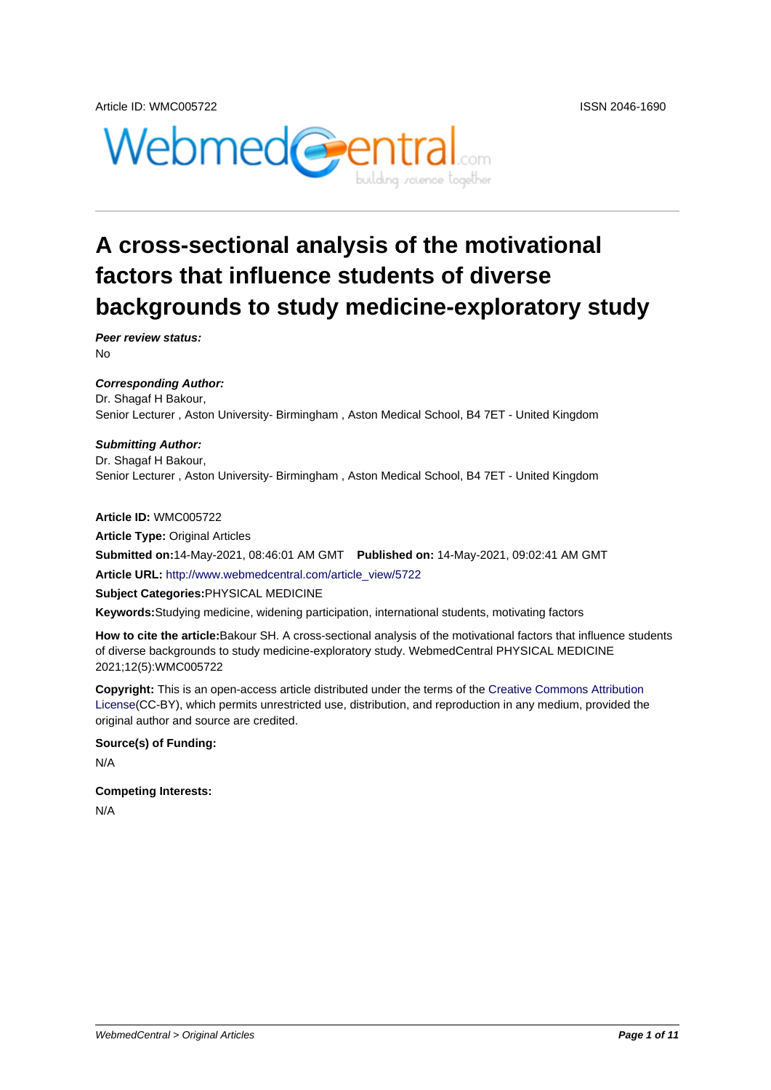

# **A cross-sectional analysis of the motivational factors that influence students of diverse backgrounds to study medicine-exploratory study**

**Peer review status:** No

**Corresponding Author:** Dr. Shagaf H Bakour, Senior Lecturer , Aston University- Birmingham , Aston Medical School, B4 7ET - United Kingdom

#### **Submitting Author:**

Dr. Shagaf H Bakour, Senior Lecturer , Aston University- Birmingham , Aston Medical School, B4 7ET - United Kingdom

**Article ID:** WMC005722

**Article Type:** Original Articles

**Submitted on:**14-May-2021, 08:46:01 AM GMT **Published on:** 14-May-2021, 09:02:41 AM GMT

**Article URL:** http://www.webmedcentral.com/article\_view/5722

**Subject Categories:**PHYSICAL MEDICINE

**Keywords:**Studying medicine, widening participation, international students, motivating factors

**How to cite the article:**[Bakour SH. A cross-sectional analysis o](http://www.webmedcentral.com/article_view/5722)f the motivational factors that influence students of diverse backgrounds to study medicine-exploratory study. WebmedCentral PHYSICAL MEDICINE 2021;12(5):WMC005722

**Copyright:** This is an open-access article distributed under the terms of the Creative Commons Attribution License(CC-BY), which permits unrestricted use, distribution, and reproduction in any medium, provided the original author and source are credited.

#### **Source(s) of Funding:**

[N/A](http://creativecommons.org/licenses/by/3.0/)

#### **Competing Interests:**

N/A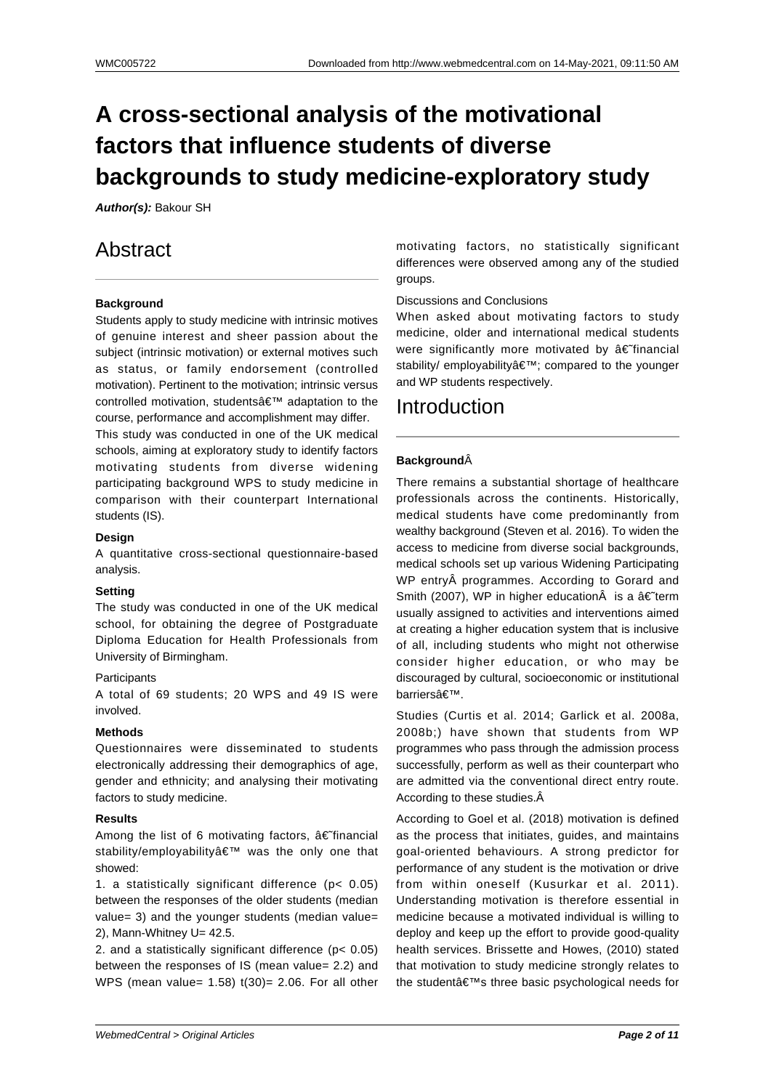# **A cross-sectional analysis of the motivational factors that influence students of diverse backgrounds to study medicine-exploratory study**

**Author(s):** Bakour SH

## Abstract

## **Background**

Students apply to study medicine with intrinsic motives of genuine interest and sheer passion about the subject (intrinsic motivation) or external motives such as status, or family endorsement (controlled motivation). Pertinent to the motivation; intrinsic versus controlled motivation, students' adaptation to the course, performance and accomplishment may differ.

This study was conducted in one of the UK medical schools, aiming at exploratory study to identify factors motivating students from diverse widening participating background WPS to study medicine in comparison with their counterpart International students (IS).

## **Design**

A quantitative cross-sectional questionnaire-based analysis.

## **Setting**

The study was conducted in one of the UK medical school, for obtaining the degree of Postgraduate Diploma Education for Health Professionals from University of Birmingham.

### **Participants**

A total of 69 students; 20 WPS and 49 IS were involved.

### **Methods**

Questionnaires were disseminated to students electronically addressing their demographics of age, gender and ethnicity; and analysing their motivating factors to study medicine.

### **Results**

Among the list of 6 motivating factors,  $\hat{a} \in \hat{f}$  financial stability/employability' was the only one that showed:

1. a statistically significant difference (p< 0.05) between the responses of the older students (median value= 3) and the younger students (median value= 2), Mann-Whitney U= 42.5.

2. and a statistically significant difference (p< 0.05) between the responses of IS (mean value= 2.2) and WPS (mean value=  $1.58$ )  $t(30)$ = 2.06. For all other motivating factors, no statistically significant differences were observed among any of the studied groups.

## Discussions and Conclusions

When asked about motivating factors to study medicine, older and international medical students were significantly more motivated by  $\hat{a} \in \hat{f}$  inancial stability/ employability'; compared to the younger and WP students respectively.

## Introduction

## **Background**

There remains a substantial shortage of healthcare professionals across the continents. Historically, medical students have come predominantly from wealthy background (Steven et al. 2016). To widen the access to medicine from diverse social backgrounds, medical schools set up various Widening Participating WP entry programmes. According to Gorard and Smith (2007), WP in higher education $\hat{A}$  is a  $\hat{a} \in \hat{A}$  rerm usually assigned to activities and interventions aimed at creating a higher education system that is inclusive of all, including students who might not otherwise consider higher education, or who may be discouraged by cultural, socioeconomic or institutional barriers'.

Studies (Curtis et al. 2014; Garlick et al. 2008a, 2008b;) have shown that students from WP programmes who pass through the admission process successfully, perform as well as their counterpart who are admitted via the conventional direct entry route. According to these studies.

According to Goel et al. (2018) motivation is defined as the process that initiates, guides, and maintains goal-oriented behaviours. A strong predictor for performance of any student is the motivation or drive from within oneself (Kusurkar et al. 2011). Understanding motivation is therefore essential in medicine because a motivated individual is willing to deploy and keep up the effort to provide good-quality health services. Brissette and Howes, (2010) stated that motivation to study medicine strongly relates to the student's three basic psychological needs for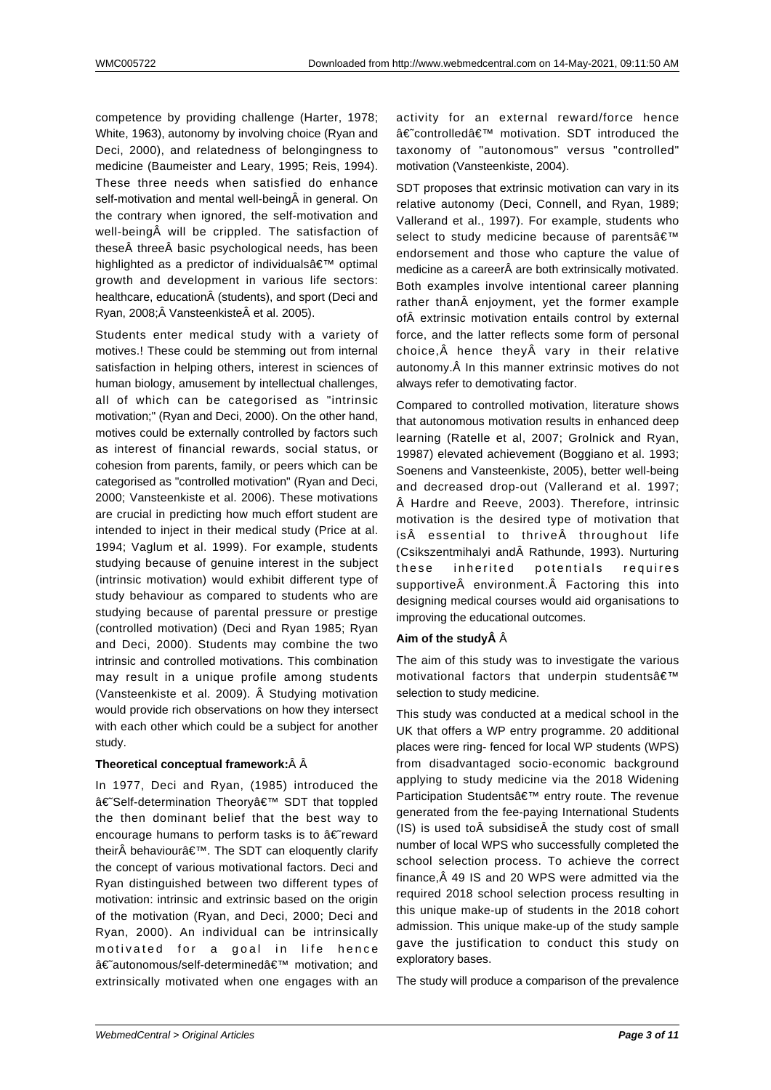competence by providing challenge (Harter, 1978; White, 1963), autonomy by involving choice (Ryan and Deci, 2000), and relatedness of belongingness to medicine (Baumeister and Leary, 1995; Reis, 1994). These three needs when satisfied do enhance self-motivation and mental well-being $\hat{A}$  in general. On the contrary when ignored, the self-motivation and well-being will be crippled. The satisfaction of these three basic psychological needs, has been highlighted as a predictor of individuals $\hat{a} \in \mathbb{M}$  optimal growth and development in various life sectors: healthcare, education (students), and sport (Deci and Ryan, 2008; Vansteenkiste et al. 2005).

Students enter medical study with a variety of motives.! These could be stemming out from internal satisfaction in helping others, interest in sciences of human biology, amusement by intellectual challenges, all of which can be categorised as "intrinsic motivation;" (Ryan and Deci, 2000). On the other hand, motives could be externally controlled by factors such as interest of financial rewards, social status, or cohesion from parents, family, or peers which can be categorised as "controlled motivation" (Ryan and Deci, 2000; Vansteenkiste et al. 2006). These motivations are crucial in predicting how much effort student are intended to inject in their medical study (Price at al. 1994; Vaglum et al. 1999). For example, students studying because of genuine interest in the subject (intrinsic motivation) would exhibit different type of study behaviour as compared to students who are studying because of parental pressure or prestige (controlled motivation) (Deci and Ryan 1985; Ryan and Deci, 2000). Students may combine the two intrinsic and controlled motivations. This combination may result in a unique profile among students (Vansteenkiste et al. 2009). Â Studying motivation would provide rich observations on how they intersect with each other which could be a subject for another study.

#### **Theoretical conceptual framework:**

In 1977, Deci and Ryan, (1985) introduced the †Self-determination Theorv' SDT that toppled the then dominant belief that the best way to encourage humans to perform tasks is to  $a \in \tilde{c}$  reward their $\hat{A}$  behaviour $\hat{a} \in \mathbb{M}$ . The SDT can eloquently clarify the concept of various motivational factors. Deci and Ryan distinguished between two different types of motivation: intrinsic and extrinsic based on the origin of the motivation (Ryan, and Deci, 2000; Deci and Ryan, 2000). An individual can be intrinsically motivated for a goal in life hence â€~autonomous/self-determined' motivation; and extrinsically motivated when one engages with an

activity for an external reward/force hence â€~controlled' motivation. SDT introduced the taxonomy of "autonomous" versus "controlled" motivation (Vansteenkiste, 2004).

SDT proposes that extrinsic motivation can vary in its relative autonomy (Deci, Connell, and Ryan, 1989; Vallerand et al., 1997). For example, students who select to study medicine because of parents' endorsement and those who capture the value of medicine as a career are both extrinsically motivated. Both examples involve intentional career planning rather than enjoyment, yet the former example of extrinsic motivation entails control by external force, and the latter reflects some form of personal choice, $\hat{A}$  hence they $\hat{A}$  vary in their relative autonomy. Â In this manner extrinsic motives do not always refer to demotivating factor.

Compared to controlled motivation, literature shows that autonomous motivation results in enhanced deep learning (Ratelle et al, 2007; Grolnick and Ryan, 19987) elevated achievement (Boggiano et al. 1993; Soenens and Vansteenkiste, 2005), better well-being and decreased drop-out (Vallerand et al. 1997; Hardre and Reeve, 2003). Therefore, intrinsic motivation is the desired type of motivation that is essential to thrive throughout life (Csikszentmihalyi and Rathunde, 1993). Nurturing these inherited potentials requires supportive $\hat{A}$  environment. $\hat{A}$  Factoring this into designing medical courses would aid organisations to improving the educational outcomes.

#### Aim of the study  $\hat{A}$

The aim of this study was to investigate the various motivational factors that underpin students $a \in \mathbb{N}$ selection to study medicine.

This study was conducted at a medical school in the UK that offers a WP entry programme. 20 additional places were ring- fenced for local WP students (WPS) from disadvantaged socio-economic background applying to study medicine via the 2018 Widening Participation Students' entry route. The revenue generated from the fee-paying International Students  $(IS)$  is used to  $\hat{A}$  subsidise  $\hat{A}$  the study cost of small number of local WPS who successfully completed the school selection process. To achieve the correct finance, Â 49 IS and 20 WPS were admitted via the required 2018 school selection process resulting in this unique make-up of students in the 2018 cohort admission. This unique make-up of the study sample gave the justification to conduct this study on exploratory bases.

The study will produce a comparison of the prevalence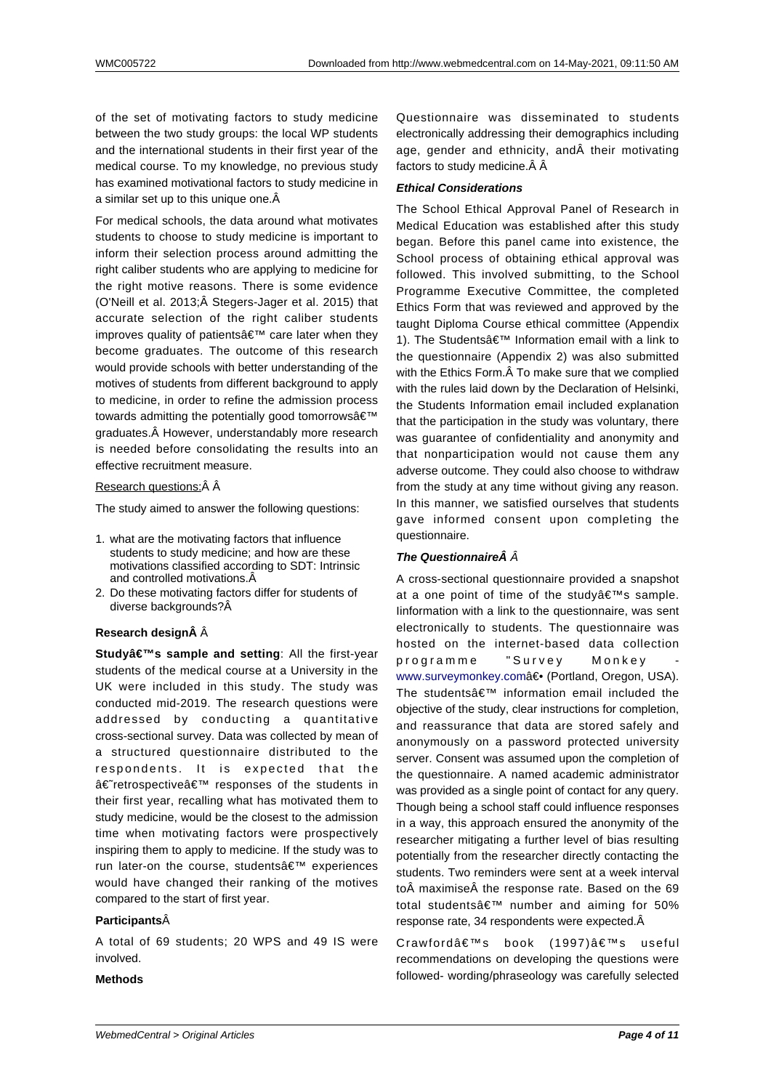of the set of motivating factors to study medicine between the two study groups: the local WP students and the international students in their first year of the medical course. To my knowledge, no previous study has examined motivational factors to study medicine in a similar set up to this unique one. Â

For medical schools, the data around what motivates students to choose to study medicine is important to inform their selection process around admitting the right caliber students who are applying to medicine for the right motive reasons. There is some evidence (O'Neill et al. 2013;Â Stegers-Jager et al. 2015) that accurate selection of the right caliber students improves quality of patients' care later when they become graduates. The outcome of this research would provide schools with better understanding of the motives of students from different background to apply to medicine, in order to refine the admission process towards admitting the potentially good tomorrows $\hat{a} \in \mathbb{T}^M$ graduates. However, understandably more research is needed before consolidating the results into an effective recruitment measure.

## Research questions:Â Â

The study aimed to answer the following questions:

- 1. what are the motivating factors that influence students to study medicine; and how are these motivations classified according to SDT: Intrinsic and controlled motivations.
- 2. Do these motivating factors differ for students of diverse backgrounds?

## **Research designÂ**  $\hat{A}$

**Study's sample and setting** All the first-year students of the medical course at a University in the UK were included in this study. The study was conducted mid-2019. The research questions were addressed by conducting a quantitative cross-sectional survey. Data was collected by mean of a structured questionnaire distributed to the respondents. It is expected that the †retrospective ' responses of the students in their first year, recalling what has motivated them to study medicine, would be the closest to the admission time when motivating factors were prospectively inspiring them to apply to medicine. If the study was to run later-on the course, students' experiences would have changed their ranking of the motives compared to the start of first year.

## **Participants**

A total of 69 students; 20 WPS and 49 IS were involved.

## **Methods**

Questionnaire was disseminated to students electronically addressing their demographics including age, gender and ethnicity, and their motivating factors to study medicine. Â Â

## **Ethical Considerations**

The School Ethical Approval Panel of Research in Medical Education was established after this study began. Before this panel came into existence, the School process of obtaining ethical approval was followed. This involved submitting, to the School Programme Executive Committee, the completed Ethics Form that was reviewed and approved by the taught Diploma Course ethical committee (Appendix 1). The Students' Information email with a link to the questionnaire (Appendix 2) was also submitted with the Ethics Form. Â To make sure that we complied with the rules laid down by the Declaration of Helsinki, the Students Information email included explanation that the participation in the study was voluntary, there was guarantee of confidentiality and anonymity and that nonparticipation would not cause them any adverse outcome. They could also choose to withdraw from the study at any time without giving any reason. In this manner, we satisfied ourselves that students gave informed consent upon completing the questionnaire.

## **The Questionnaire Â**  $\hat{A}$

A cross-sectional questionnaire provided a snapshot at a one point of time of the study  $a \in \mathbb{N}$ s sample. Iinformation with a link to the questionnaire, was sent electronically to students. The questionnaire was hosted on the internet-based data collection programme "Survey Monkey www.surveymonkey.com― (Portland, Oregon, USA). The students $\hat{a} \in \mathbb{M}$  information email included the objective of the study, clear instructions for completion, and reassurance that data are stored safely and [anonymously on a pas](http://www.surveymonkey.com/)sword protected university server. Consent was assumed upon the completion of the questionnaire. A named academic administrator was provided as a single point of contact for any query. Though being a school staff could influence responses in a way, this approach ensured the anonymity of the researcher mitigating a further level of bias resulting potentially from the researcher directly contacting the students. Two reminders were sent at a week interval to maximise the response rate. Based on the 69 total students $\hat{\mathsf{a}} \in \mathbb{M}$  number and aiming for 50% response rate, 34 respondents were expected.

Crawford's book (1997)'s useful recommendations on developing the questions were followed- wording/phraseology was carefully selected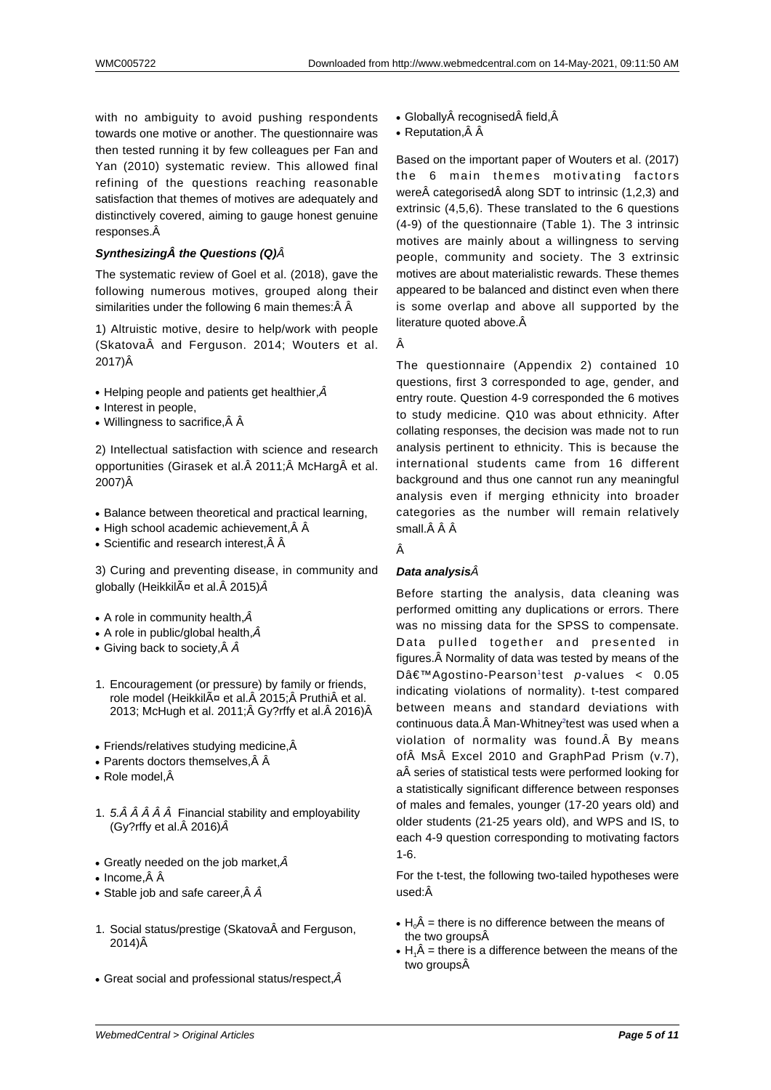with no ambiguity to avoid pushing respondents towards one motive or another. The questionnaire was then tested running it by few colleagues per Fan and Yan (2010) systematic review. This allowed final refining of the questions reaching reasonable satisfaction that themes of motives are adequately and distinctively covered, aiming to gauge honest genuine responses.

## **Synthesizing A** the Questions (Q)  $\hat{A}$

The systematic review of Goel et al. (2018), gave the following numerous motives, grouped along their similarities under the following 6 main themes: $\hat{A}$  Å

1) Altruistic motive, desire to help/work with people  $(Skatova $\hat{A}$  and Ferauson. 2014: Wouters et al.$ 2017)Â

- Helping people and patients get healthier, $\hat{A}$
- Interest in people,
- Willingness to sacrifice, $\hat{A}$   $\hat{A}$

2) Intellectual satisfaction with science and research opportunities (Girasek et al. 2011; McHarg et al. 2007)Â

- Balance between theoretical and practical learning,
- High school academic achievement, $\hat{A}$   $\hat{A}$
- Scientific and research interest, $\hat{A}$   $\hat{A}$

3) Curing and preventing disease, in community and globally (Heikkil $\tilde{A}$ ¤ et al. $\hat{A}$  2015) $\hat{A}$ 

- A role in community health,  $\hat{A}$
- A role in public/global health, $\hat{A}$
- Giving back to society,  $\hat{A}$   $\hat{A}$
- 1. Encouragement (or pressure) by family or friends, role model (HeikkilĤ et al. 2015; Pruthi et al. 2013; McHugh et al. 2011; Â Gy?rffy et al. Â 2016) Â
- $\bullet$  Friends/relatives studying medicine, $\hat{A}$
- Parents doctors themselves, $\hat{A}$   $\hat{A}$
- $\bullet$  Role model, $\hat{A}$
- 1.  $5.\hat{A} \hat{A} \hat{A} \hat{A} \hat{A}$  Financial stability and employability (Gy?rffy et al. $\hat{A}$  2016) $\hat{A}$
- Greatly needed on the job market, $\hat{A}$
- Income, $\hat{A}$   $\hat{A}$
- Stable job and safe career, $\hat{A}$   $\hat{A}$
- 1. Social status/prestige (Skatova and Ferguson, 2014)Â
- Great social and professional status/respect, $\hat{A}$
- Globally $\hat{A}$  recognised $\hat{A}$  field. $\hat{A}$
- Reputation, $\hat{A}$   $\hat{A}$

Based on the important paper of Wouters et al. (2017) the 6 main themes motivating factors were $\hat{A}$  categorised $\hat{A}$  along SDT to intrinsic (1,2,3) and extrinsic (4,5,6). These translated to the 6 questions (4-9) of the questionnaire (Table 1). The 3 intrinsic motives are mainly about a willingness to serving people, community and society. The 3 extrinsic motives are about materialistic rewards. These themes appeared to be balanced and distinct even when there is some overlap and above all supported by the literature quoted above. Â

Â

The questionnaire (Appendix 2) contained 10 questions, first 3 corresponded to age, gender, and entry route. Question 4-9 corresponded the 6 motives to study medicine. Q10 was about ethnicity. After collating responses, the decision was made not to run analysis pertinent to ethnicity. This is because the international students came from 16 different background and thus one cannot run any meaningful analysis even if merging ethnicity into broader categories as the number will remain relatively small. Â Â

Â

## **Data analysis**

Before starting the analysis, data cleaning was performed omitting any duplications or errors. There was no missing data for the SPSS to compensate. Data pulled together and presented in figures. A Normality of data was tested by means of the D'Agostino-Pearson<sup>1</sup>test p-values < 0.05 indicating violations of normality). t-test compared between means and standard deviations with continuous data.Ä Man-Whitney<sup>2</sup>test was used when a violation of normality [w](https://word-edit.officeapps.live.com/we/wordeditorframe.aspx?ui=en-GB&rs=en-GB&hid=TL0y6ATdc0e6DbWpd01YmQ.0&wopisrc=https%3A%2F%2Fwopi.onedrive.com%2Fwopi%2Ffiles%2F745BF49A6C20795C!288&wdnd=1&wdprevioussession=40068352%2D9387%2D4241%2Da1f5%2D66e603d430af&wdnewandopenct=1567361908483&wdo=7&wdpreviouscorrelation=b61ed398%2D6bf5%2D4ffa%2D8653%2Db8e5db9795fb&wde=docx&sc=host=&qt=Folders&mscc=1&wdp=0&uih=OneDrive&wdorigin=Unknown&jsapi=1&newsession=1&corrid=d9a91d02-d1ea-49f7-81ac-69e1c782e33a&usid=d9a91d02-d1ea-49f7-81ac-69e1c782e33a&instantedit=1&wopicomplete=1&wdredirectionreason=Unified_SingleFlushFallback#_ftn2)as found. A By means of Ms Excel 2010 and GraphPad Prism (v.7), a series of statistical tests were performed looking for a statistically significant differen[c](https://word-edit.officeapps.live.com/we/wordeditorframe.aspx?ui=en-GB&rs=en-GB&hid=TL0y6ATdc0e6DbWpd01YmQ.0&wopisrc=https%3A%2F%2Fwopi.onedrive.com%2Fwopi%2Ffiles%2F745BF49A6C20795C!288&wdnd=1&wdprevioussession=40068352%2D9387%2D4241%2Da1f5%2D66e603d430af&wdnewandopenct=1567361908483&wdo=7&wdpreviouscorrelation=b61ed398%2D6bf5%2D4ffa%2D8653%2Db8e5db9795fb&wde=docx&sc=host=&qt=Folders&mscc=1&wdp=0&uih=OneDrive&wdorigin=Unknown&jsapi=1&newsession=1&corrid=d9a91d02-d1ea-49f7-81ac-69e1c782e33a&usid=d9a91d02-d1ea-49f7-81ac-69e1c782e33a&instantedit=1&wopicomplete=1&wdredirectionreason=Unified_SingleFlushFallback#_ftn2)e between responses of males and females, younger (17-20 years old) and older students (21-25 years old), and WPS and IS, to each 4-9 question corresponding to motivating factors 1-6.

For the t-test, the following two-tailed hypotheses were used:Â

- $\cdot$  H $\hat{A}$  = there is no difference between the means of the two groups  $\hat{A}$
- $\cdot$  H<sub>1</sub> $\hat{A}$  = there is a difference between the means of the two groups $\hat{A}$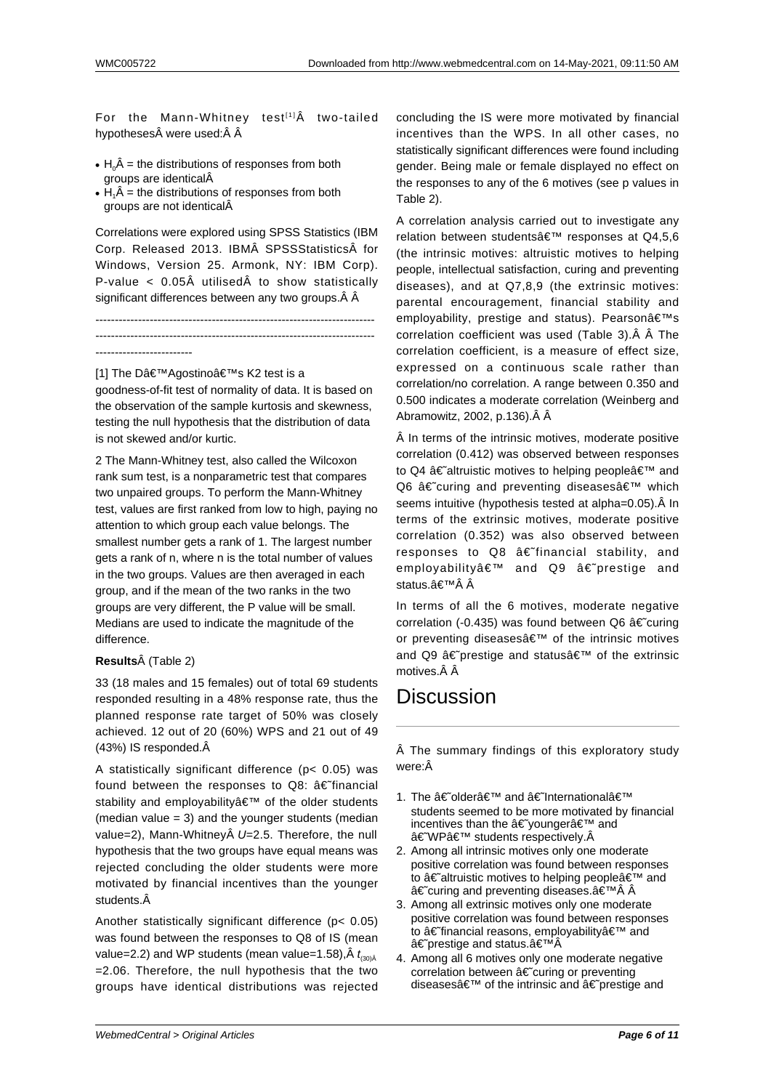For the Mann-Whitney test<sup>[1]</sup> $\hat{A}$  two-tailed hypotheses were used:Â Â

- $\cdot$  H<sub>0</sub> $\hat{A}$  = the distributions of responses from both groups are identical
- $\cdot$  H<sub>1</sub> $\hat{A}$  = the distributions of responses from both groups are not identical

Correlations were explored using SPSS Statistics (IBM Corp. Released 2013. IBM SPSSStatistics for Windows, Version 25. Armonk, NY: IBM Corp). P-value  $\langle$  0.05Å utilisedÅ to show statistically significant differences between any two groups. Â Â

------------------------------------------------------------------------ ------------------------------------------------------------------------ -------------------------

[1] The D'Agostino a E™s K2 test is a goodness-of-fit test of normality of data. It is based on the observation of the sample kurtosis and skewness, testing the null hypothesis that the distribution of data is not skewed and/or kurtic.

2 The Mann-Whitney test, also called the Wilcoxon rank sum test, is a nonparametric test that compares two unpaired groups. To perform the Mann-Whitney test, values are first ranked from low to high, paying no attention to which group each value belongs. The smallest number gets a rank of 1. The largest number gets a rank of n, where n is the total number of values in the two groups. Values are then averaged in each group, and if the mean of the two ranks in the two groups are very different, the P value will be small. Medians are used to indicate the magnitude of the difference.

### **Results** $\hat{A}$  (Table 2)

33 (18 males and 15 females) out of total 69 students responded resulting in a 48% response rate, thus the planned response rate target of 50% was closely achieved. 12 out of 20 (60%) WPS and 21 out of 49 (43%) IS responded.

A statistically significant difference (p< 0.05) was found between the responses to  $Q8$ :  $â \epsilon$ <sup>\*</sup>financial stability and employability' of the older students (median value  $= 3$ ) and the vounger students (median value=2), Mann-Whitney $\hat{A}$  U=2.5. Therefore, the null hypothesis that the two groups have equal means was rejected concluding the older students were more motivated by financial incentives than the younger students. $\hat{A}$ 

Another statistically significant difference (p< 0.05) was found between the responses to Q8 of IS (mean value=2.2) and WP students (mean value=1.58), $\rm \AA$   $t_{\text{\tiny (30)}\rm \AA}$ =2.06. Therefore, the null hypothesis that the two groups have identical distributions was rejected concluding the IS were more motivated by financial incentives than the WPS. In all other cases, no statistically significant differences were found including gender. Being male or female displayed no effect on the responses to any of the 6 motives (see p values in Table 2).

A correlation analysis carried out to investigate any relation between students' responses at Q4.5,6 (the intrinsic motives: altruistic motives to helping people, intellectual satisfaction, curing and preventing diseases), and at Q7,8,9 (the extrinsic motives: parental encouragement, financial stability and employability, prestige and status). Pearson's correlation coefficient was used (Table 3). Â Â The correlation coefficient, is a measure of effect size, expressed on a continuous scale rather than correlation/no correlation. A range between 0.350 and 0.500 indicates a moderate correlation (Weinberg and Abramowitz, 2002, p.136).

 In terms of the intrinsic motives, moderate positive correlation (0.412) was observed between responses to Q4  $\hat{a} \in \hat{a}$  altruistic motives to helping people $\hat{a} \in \hat{a}$  and  $Q6$   $â€$  curing and preventing diseases $â€$ <sup>™</sup> which seems intuitive (hypothesis tested at alpha=0.05). Â In terms of the extrinsic motives, moderate positive correlation (0.352) was also observed between responses to  $Q8$   $â \in$ "financial stability, and employability' and Q9 †prestige and status.â€<sup>⊤м</sup> Â

In terms of all the 6 motives, moderate negative correlation (-0.435) was found between Q6  $a \in \text{curing}$ or preventing diseases $\hat{a} \in \mathbb{N}$  of the intrinsic motives and Q9  $\hat{a} \in \hat{b}$  prestige and status $\hat{a} \in \hat{b}$  of the extrinsic motives. $\hat{A}$   $\hat{A}$ 

## **Discussion**

 The summary findings of this exploratory study were:Â

- 1. The †olderâ€<sup>™</sup> and †Internationalâ€<sup>™</sup> students seemed to be more motivated by financial incentives than the â€~younger' and †WP' students respectively.Â
- 2. Among all intrinsic motives only one moderate positive correlation was found between responses to  $\hat{a} \in \hat{a}$  altruistic motives to helping people $\hat{a} \in \hat{a}$  and †curing and preventing diseases. a €™Â Â
- 3. Among all extrinsic motives only one moderate positive correlation was found between responses to †financial reasons, employability a f<sup>™</sup> and †prestige and status. a E<sup>™</sup>Â
- 4. Among all 6 motives only one moderate negative correlation between  $\hat{a} \in \tilde{c}$  curing or preventing diseases $\hat{a} \in \mathbb{N}^N$  of the intrinsic and  $\hat{a} \in \mathbb{N}$  prestige and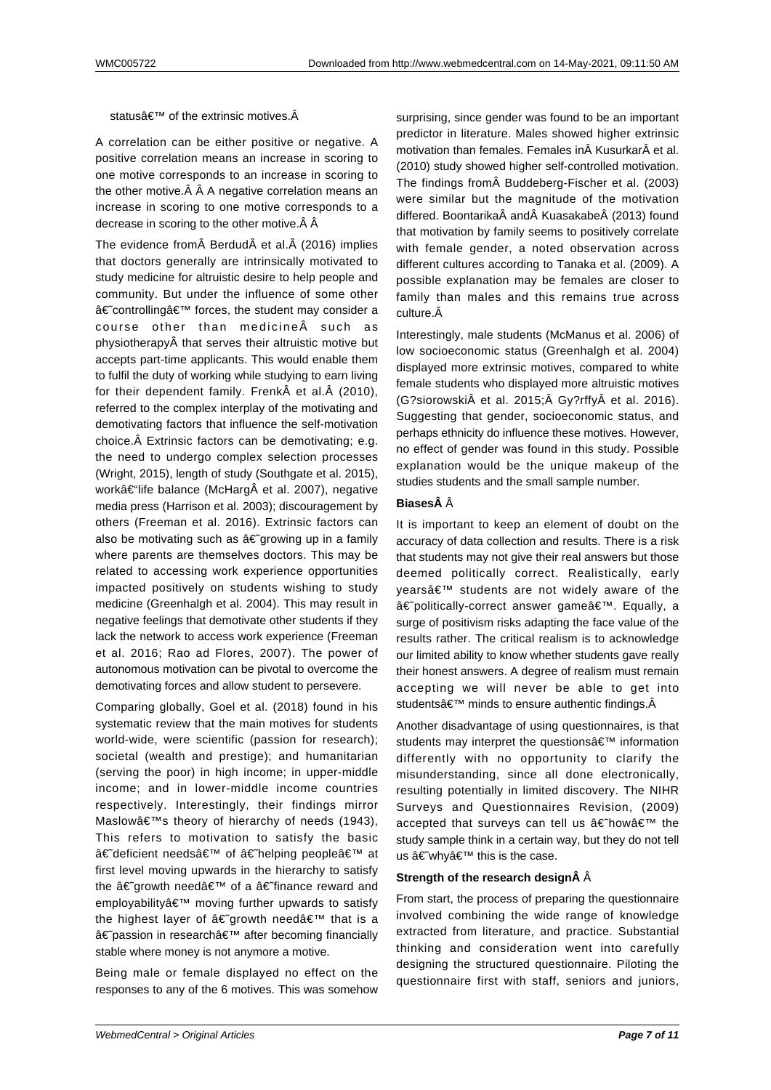status $\hat{a} \in \mathbb{M}$  of the extrinsic motives. $\hat{A}$ 

A correlation can be either positive or negative. A positive correlation means an increase in scoring to one motive corresponds to an increase in scoring to the other motive. $\hat{A}$   $\hat{A}$  A negative correlation means an increase in scoring to one motive corresponds to a decrease in scoring to the other motive.  $\hat{A}$   $\hat{A}$ 

The evidence from Berdud et al. (2016) implies that doctors generally are intrinsically motivated to study medicine for altruistic desire to help people and community. But under the influence of some other â€~controlling' forces, the student may consider a course other than medicine $\hat{A}$  such as physiotherapy that serves their altruistic motive but accepts part-time applicants. This would enable them to fulfil the duty of working while studying to earn living for their dependent family. Frenk $\hat{A}$  et al. $\hat{A}$  (2010), referred to the complex interplay of the motivating and demotivating factors that influence the self-motivation choice. Â Extrinsic factors can be demotivating; e.g. the need to undergo complex selection processes (Wright, 2015), length of study (Southgate et al. 2015), work–life balance (McHarg et al. 2007), negative media press (Harrison et al. 2003); discouragement by others (Freeman et al. 2016). Extrinsic factors can also be motivating such as  $\hat{a} \in \tilde{g}$  growing up in a family where parents are themselves doctors. This may be related to accessing work experience opportunities impacted positively on students wishing to study medicine (Greenhalgh et al. 2004). This may result in negative feelings that demotivate other students if they lack the network to access work experience (Freeman et al. 2016; Rao ad Flores, 2007). The power of autonomous motivation can be pivotal to overcome the demotivating forces and allow student to persevere.

Comparing globally, Goel et al. (2018) found in his systematic review that the main motives for students world-wide, were scientific (passion for research); societal (wealth and prestige); and humanitarian (serving the poor) in high income; in upper-middle income; and in lower-middle income countries respectively. Interestingly, their findings mirror Maslow's theory of hierarchy of needs (1943), This refers to motivation to satisfy the basic â€~deficient needs' of †helping people' at first level moving upwards in the hierarchy to satisfy the  $\hat{a} \in \hat{a}$  arowth need $\hat{a} \in \hat{a}$  of a  $\hat{a} \in \hat{a}$  finance reward and employability' moving further upwards to satisfy the highest layer of  $\hat{a} \in \tilde{a}$  arowth need $\hat{a} \in \tilde{a}$  that is a †passion in research' after becoming financially stable where money is not anymore a motive.

Being male or female displayed no effect on the responses to any of the 6 motives. This was somehow surprising, since gender was found to be an important predictor in literature. Males showed higher extrinsic motivation than females. Females in Kusurkar et al. (2010) study showed higher self-controlled motivation. The findings from Buddeberg-Fischer et al. (2003) were similar but the magnitude of the motivation differed. Boontarika and Kuasakabe (2013) found that motivation by family seems to positively correlate with female gender, a noted observation across different cultures according to Tanaka et al. (2009). A possible explanation may be females are closer to family than males and this remains true across culture. $\hat{A}$ 

Interestingly, male students (McManus et al. 2006) of low socioeconomic status (Greenhalgh et al. 2004) displayed more extrinsic motives, compared to white female students who displayed more altruistic motives (G?siorowski et al. 2015; Gy?rffy et al. 2016). Suggesting that gender, socioeconomic status, and perhaps ethnicity do influence these motives. However, no effect of gender was found in this study. Possible explanation would be the unique makeup of the studies students and the small sample number.

#### **Biases** $\hat{A}$   $\hat{A}$

It is important to keep an element of doubt on the accuracy of data collection and results. There is a risk that students may not give their real answers but those deemed politically correct. Realistically, early vears' students are not widely aware of the â€~politically-correct answer game'. Equally, a surge of positivism risks adapting the face value of the results rather. The critical realism is to acknowledge our limited ability to know whether students gave really their honest answers. A degree of realism must remain accepting we will never be able to get into students $\hat{\mathbf{a}} \in \mathbb{M}$  minds to ensure authentic findings. $\hat{\mathbf{A}}$ 

Another disadvantage of using questionnaires, is that students may interpret the questions' information differently with no opportunity to clarify the misunderstanding, since all done electronically, resulting potentially in limited discovery. The NIHR Surveys and Questionnaires Revision, (2009) accepted that surveys can tell us †how ' the study sample think in a certain way, but they do not tell us â€~why' this is the case.

#### **Strength of the research design Â**  $\hat{A}$

From start, the process of preparing the questionnaire involved combining the wide range of knowledge extracted from literature, and practice. Substantial thinking and consideration went into carefully designing the structured questionnaire. Piloting the questionnaire first with staff, seniors and juniors,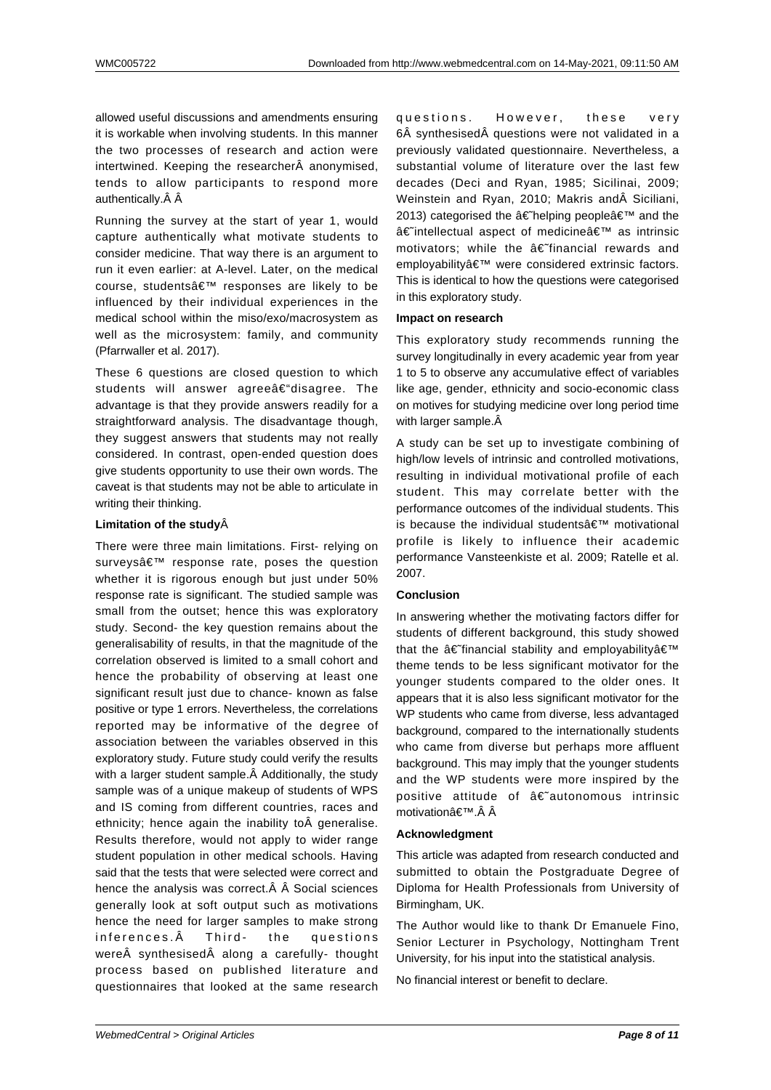allowed useful discussions and amendments ensuring it is workable when involving students. In this manner the two processes of research and action were intertwined. Keeping the researcher anonymised, tends to allow participants to respond more authentically. $\hat{A}$   $\hat{A}$ 

Running the survey at the start of year 1, would capture authentically what motivate students to consider medicine. That way there is an argument to run it even earlier: at A-level. Later, on the medical course, students' responses are likely to be influenced by their individual experiences in the medical school within the miso/exo/macrosystem as well as the microsystem: family, and community (Pfarrwaller et al. 2017).

These 6 questions are closed question to which students will answer agreeâ€"disagree. The advantage is that they provide answers readily for a straightforward analysis. The disadvantage though, they suggest answers that students may not really considered. In contrast, open-ended question does give students opportunity to use their own words. The caveat is that students may not be able to articulate in writing their thinking.

### **Limitation of the study**

There were three main limitations. First- relying on surveys' response rate, poses the question whether it is rigorous enough but just under 50% response rate is significant. The studied sample was small from the outset; hence this was exploratory study. Second- the key question remains about the generalisability of results, in that the magnitude of the correlation observed is limited to a small cohort and hence the probability of observing at least one significant result just due to chance- known as false positive or type 1 errors. Nevertheless, the correlations reported may be informative of the degree of association between the variables observed in this exploratory study. Future study could verify the results with a larger student sample. A Additionally, the study sample was of a unique makeup of students of WPS and IS coming from different countries, races and ethnicity; hence again the inability to  $\tilde{A}$  generalise. Results therefore, would not apply to wider range student population in other medical schools. Having said that the tests that were selected were correct and hence the analysis was correct. $\hat{A}$   $\hat{A}$  Social sciences generally look at soft output such as motivations hence the need for larger samples to make strong inferences. A Third- the questions were $\hat{A}$  synthesised $\hat{A}$  along a carefully- thought process based on published literature and questionnaires that looked at the same research questions. However, these very 6Å synthesisedÅ questions were not validated in a previously validated questionnaire. Nevertheless, a substantial volume of literature over the last few decades (Deci and Ryan, 1985; Sicilinai, 2009; Weinstein and Ryan, 2010; Makris and Siciliani, 2013) categorised the †helping people' and the †intellectual aspect of medicine a imedicine as intrinsic motivators; while the  $a \in \text{``final}$  rewards and employability' were considered extrinsic factors. This is identical to how the questions were categorised in this exploratory study.

#### **Impact on research**

This exploratory study recommends running the survey longitudinally in every academic year from year 1 to 5 to observe any accumulative effect of variables like age, gender, ethnicity and socio-economic class on motives for studying medicine over long period time with larger sample. $\hat{A}$ 

A study can be set up to investigate combining of high/low levels of intrinsic and controlled motivations, resulting in individual motivational profile of each student. This may correlate better with the performance outcomes of the individual students. This is because the individual students  $\hat{\mathbf{a}} \in \mathbb{M}^m$  motivational profile is likely to influence their academic performance Vansteenkiste et al. 2009; Ratelle et al. 2007.

### **Conclusion**

In answering whether the motivating factors differ for students of different background, this study showed that the  $\hat{a} \in \hat{a}$  financial stability and employability $\hat{a} \in \hat{a}$ theme tends to be less significant motivator for the younger students compared to the older ones. It appears that it is also less significant motivator for the WP students who came from diverse, less advantaged background, compared to the internationally students who came from diverse but perhaps more affluent background. This may imply that the younger students and the WP students were more inspired by the positive attitude of  $\hat{a} \in \tilde{a}$  autonomous intrinsic motivationâ€<sup>™</sup>. Â

#### **Acknowledgment**

This article was adapted from research conducted and submitted to obtain the Postgraduate Degree of Diploma for Health Professionals from University of Birmingham, UK.

The Author would like to thank Dr Emanuele Fino, Senior Lecturer in Psychology, Nottingham Trent University, for his input into the statistical analysis.

No financial interest or benefit to declare.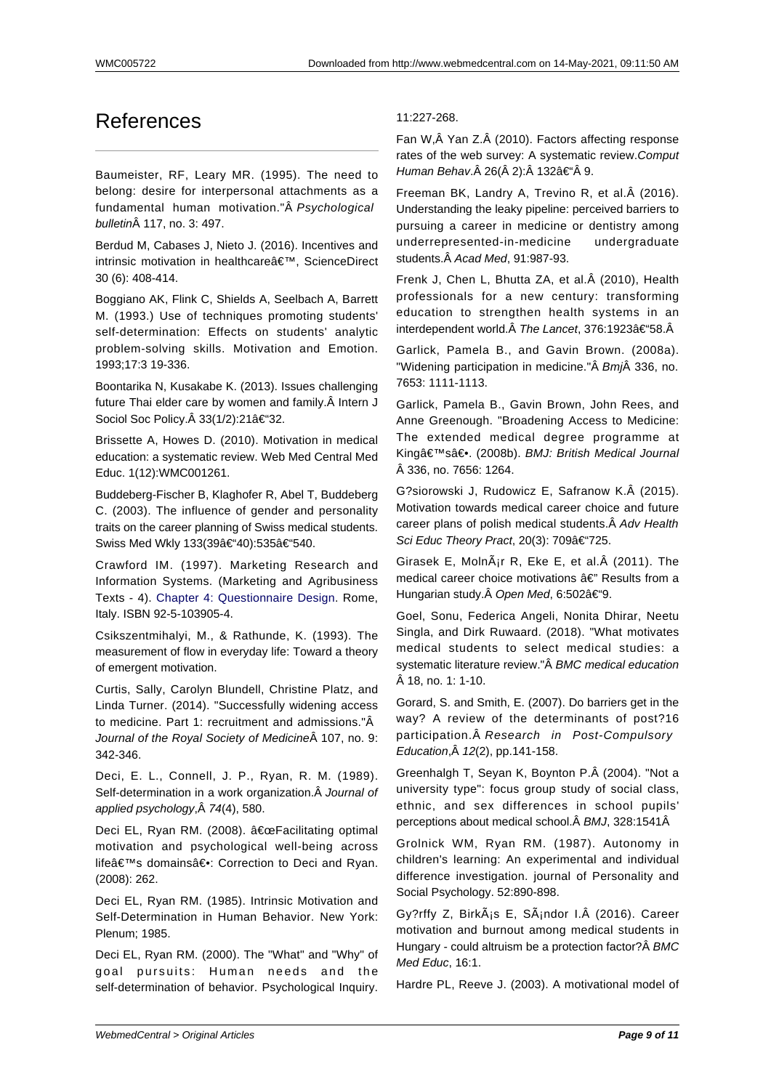## References

Baumeister, RF, Leary MR. (1995). The need to belong: desire for interpersonal attachments as a fundamental human motivation."Â Psychological bulletin 117, no. 3: 497.

Berdud M, Cabases J, Nieto J. (2016). Incentives and intrinsic motivation in healthcare', ScienceDirect 30 (6): 408-414.

Boggiano AK, Flink C, Shields A, Seelbach A, Barrett M. (1993.) Use of techniques promoting students' self-determination: Effects on students' analytic problem-solving skills. Motivation and Emotion. 1993;17:3 19-336.

Boontarika N, Kusakabe K. (2013). Issues challenging future Thai elder care by women and family. Â Intern J Sociol Soc Policy. $\hat{A}$  33(1/2):21 $\hat{a} \in \hat{B}$  32.

Brissette A, Howes D. (2010). Motivation in medical education: a systematic review. Web Med Central Med Educ. 1(12):WMC001261.

Buddeberg-Fischer B, Klaghofer R, Abel T, Buddeberg C. (2003). The influence of gender and personality traits on the career planning of Swiss medical students. Swiss Med Wkly 133(39â€"40):535â€"540.

Crawford IM. (1997). Marketing Research and Information Systems. (Marketing and Agribusiness Texts - 4). Chapter 4: Questionnaire Design. Rome, Italy. ISBN 92-5-103905-4.

Csikszentmihalyi, M., & Rathunde, K. (1993). The measurem[ent of flow in everyday life: Toward](http://www.fao.org/3/W3241E/w3241e05.htm#chapter%204:%20questionnaire%20design) a theory of emergent motivation.

Curtis, Sally, Carolyn Blundell, Christine Platz, and Linda Turner. (2014). "Successfully widening access to medicine. Part 1: recruitment and admissions."Â Journal of the Royal Society of Medicine A 107, no. 9: 342-346.

Deci, E. L., Connell, J. P., Ryan, R. M. (1989). Self-determination in a work organization. A Journal of applied psychology, $\hat{A}$  74(4), 580.

Deci EL, Ryan RM. (2008). "Facilitating optimal motivation and psychological well-being across life's domains―: Correction to Deci and Ryan. (2008): 262.

Deci EL, Ryan RM. (1985). Intrinsic Motivation and Self-Determination in Human Behavior. New York: Plenum; 1985.

Deci EL, Ryan RM. (2000). The "What" and "Why" of goal pursuits: Human needs and the self-determination of behavior. Psychological Inquiry.

### 11:227-268.

Fan W, $\hat{A}$  Yan Z. $\hat{A}$  (2010). Factors affecting response rates of the web survey: A systematic review. Comput Human Behav. 26( 2): 132–Â 9.

Freeman BK, Landry A, Trevino R, et al. (2016). Understanding the leaky pipeline: perceived barriers to pursuing a career in medicine or dentistry among underrepresented-in-medicine undergraduate students. A Acad Med, 91:987-93.

Frenk J, Chen L, Bhutta ZA, et al. (2010), Health professionals for a new century: transforming education to strengthen health systems in an interdependent world. The Lancet, 376:1923–58.Â

Garlick, Pamela B., and Gavin Brown. (2008a). "Widening participation in medicine." Bmi 336, no. 7653: 1111-1113.

Garlick, Pamela B., Gavin Brown, John Rees, and Anne Greenough. "Broadening Access to Medicine: The extended medical degree programme at King's―. (2008b). BMJ: British Medical Journal 336, no. 7656: 1264.

G?siorowski J, Rudowicz E, Safranow K. (2015). Motivation towards medical career choice and future career plans of polish medical students. A Adv Health Sci Educ Theory Pract, 20(3): 709–725.

Girasek E, Moln $\tilde{A}_{I}$ r R, Eke E, et al. $\hat{A}$  (2011). The medical career choice motivations â€" Results from a Hungarian study. Open Med, 6:502–9.

Goel, Sonu, Federica Angeli, Nonita Dhirar, Neetu Singla, and Dirk Ruwaard. (2018). "What motivates medical students to select medical studies: a systematic literature review."Â BMC medical education  $\hat{A}$  18, no. 1: 1-10.

Gorard, S. and Smith, E. (2007). Do barriers get in the way? A review of the determinants of post?16 participation. Â Research in Post-Compulsory Education, $\hat{A}$  12(2), pp. 141-158.

Greenhalgh T, Seyan K, Boynton P. (2004). "Not a university type": focus group study of social class, ethnic, and sex differences in school pupils' perceptions about medical school. Â BMJ, 328:1541Â

Grolnick WM, Ryan RM. (1987). Autonomy in children's learning: An experimental and individual difference investigation. journal of Personality and Social Psychology. 52:890-898.

Gy?rffy Z, BirkÂis E, SÂindor I. (2016). Career motivation and burnout among medical students in Hungary - could altruism be a protection factor? Â BMC Med Educ, 16:1.

Hardre PL, Reeve J. (2003). A motivational model of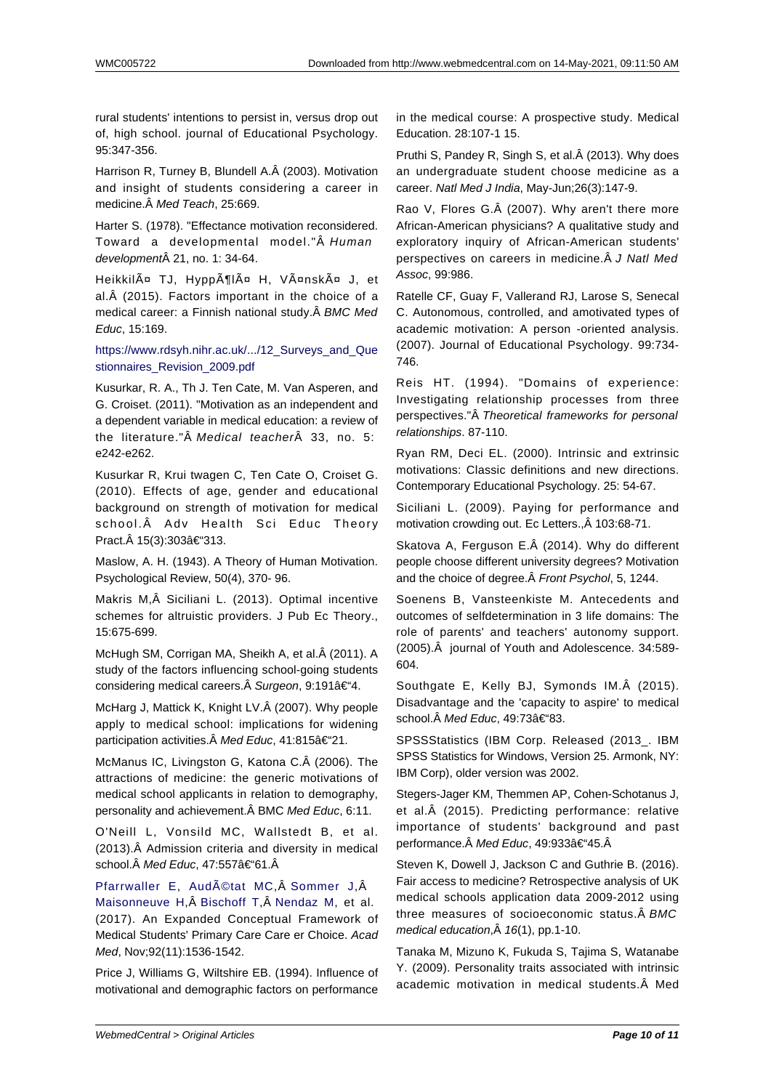rural students' intentions to persist in, versus drop out of, high school. journal of Educational Psychology. 95:347-356.

Harrison R, Turney B, Blundell A. (2003). Motivation and insight of students considering a career in medicine. Â Med Teach, 25:669.

Harter S. (1978). "Effectance motivation reconsidered. Toward a developmental model."Â Human development 21, no. 1: 34-64.

HeikkilĤ TJ, HyppĶlĤ H, VĤnskĤ J, et al. (2015). Factors important in the choice of a medical career: a Finnish national study. Â BMC Med Educ, 15:169.

https://www.rdsyh.nihr.ac.uk/.../12\_Surveys\_and\_Que stionnaires\_Revision\_2009.pdf

Kusurkar, R. A., Th J. Ten Cate, M. Van Asperen, and G. Croiset. (2011). "Motivation as an independent and [a dependent variable in medical education: a review of](http://www.webmedcentral.com/https://www.rdsyh.nihr.ac.uk/.12_Surveys_and_Questionnaires_Revision_2009.pdf) the literature." $\hat{A}$  *Medical teacher* $\hat{A}$  33, no. 5: e242-e262.

Kusurkar R, Krui twagen C, Ten Cate O, Croiset G. (2010). Effects of age, gender and educational background on strength of motivation for medical school. Adv Health Sci Educ Theory Pract. 15(3):303–313.

Maslow, A. H. (1943). A Theory of Human Motivation. Psychological Review, 50(4), 370- 96.

Makris M, Siciliani L. (2013). Optimal incentive schemes for altruistic providers. J Pub Ec Theory., 15:675-699.

McHugh SM, Corrigan MA, Sheikh A, et al. Â (2011). A study of the factors influencing school-going students considering medical careers. Surgeon, 9:191–4.

McHarg J, Mattick K, Knight LV. (2007). Why people apply to medical school: implications for widening participation activities. Med Educ, 41:815–21.

McManus IC, Livingston G, Katona C. (2006). The attractions of medicine: the generic motivations of medical school applicants in relation to demography, personality and achievement. Â BMC Med Educ, 6:11.

O'Neill L, Vonsild MC, Wallstedt B, et al. (2013). Admission criteria and diversity in medical school. Med Educ, 47:557–61.Â

Pfarrwaller E, Audétat MC, Sommer J,Â

Maisonneuve H, Bischoff T, Nendaz M, et al. (2017). An Expanded Conceptual Framework of Medical Students' Primary Care Care er Choice. Acad Med[, Nov;92\(11](https://www.ncbi.nlm.nih.gov/pubmed/?term=Pfarrwaller%20E%5BAuthor%5D&cauthor=true&cauthor_uid=28379931)):[1536-1542.](https://www.ncbi.nlm.nih.gov/pubmed/?term=Aud%C3%A9tat%20MC%5BAuthor%5D&cauthor=true&cauthor_uid=28379931)

[Price J, Williams](https://www.ncbi.nlm.nih.gov/pubmed/?term=Maisonneuve%20H%5BAuthor%5D&cauthor=true&cauthor_uid=28379931) G, [Wiltshire E](https://www.ncbi.nlm.nih.gov/pubmed/?term=Bischoff%20T%5BAuthor%5D&cauthor=true&cauthor_uid=28379931)B. [\(1994\). Influ](https://www.ncbi.nlm.nih.gov/pubmed/?term=Nendaz%20M%5BAuthor%5D&cauthor=true&cauthor_uid=28379931)ence of motivational and demographic factors on performance in the medical course: A prospective study. Medical Education. 28:107-1 15.

Pruthi S, Pandey R, Singh S, et al. $\hat{A}$  (2013). Why does an undergraduate student choose medicine as a career. Natl Med J India, May-Jun;26(3):147-9.

Rao V, Flores G. (2007). Why aren't there more African-American physicians? A qualitative study and exploratory inquiry of African-American students' perspectives on careers in medicine. Â J Natl Med Assoc, 99:986.

Ratelle CF, Guay F, Vallerand RJ, Larose S, Senecal C. Autonomous, controlled, and amotivated types of academic motivation: A person -oriented analysis. (2007). Journal of Educational Psychology. 99:734- 746.

Reis HT. (1994). "Domains of experience: Investigating relationship processes from three perspectives."Â Theoretical frameworks for personal relationships. 87-110.

Ryan RM, Deci EL. (2000). Intrinsic and extrinsic motivations: Classic definitions and new directions. Contemporary Educational Psychology. 25: 54-67.

Siciliani L. (2009). Paying for performance and motivation crowding out. Ec Letters., Â 103:68-71.

Skatova A, Ferguson E. (2014). Why do different people choose different university degrees? Motivation and the choice of degree. Â Front Psychol, 5, 1244.

Soenens B, Vansteenkiste M. Antecedents and outcomes of selfdetermination in 3 life domains: The role of parents' and teachers' autonomy support. (2005). Â journal of Youth and Adolescence. 34:589-604.

Southgate E, Kelly BJ, Symonds IM. (2015). Disadvantage and the 'capacity to aspire' to medical school. Med Educ, 49:73–83.

SPSSStatistics (IBM Corp. Released (2013\_. IBM SPSS Statistics for Windows, Version 25. Armonk, NY: IBM Corp), older version was 2002.

Stegers-Jager KM, Themmen AP, Cohen-Schotanus J, et al. (2015). Predicting performance: relative importance of students' background and past performance. Med Educ, 49:933–45. Â

Steven K, Dowell J, Jackson C and Guthrie B. (2016). Fair access to medicine? Retrospective analysis of UK medical schools application data 2009-2012 using three measures of socioeconomic status. Â BMC medical education, $\hat{A}$  16(1), pp.1-10.

Tanaka M, Mizuno K, Fukuda S, Tajima S, Watanabe Y. (2009). Personality traits associated with intrinsic academic motivation in medical students. Â Med